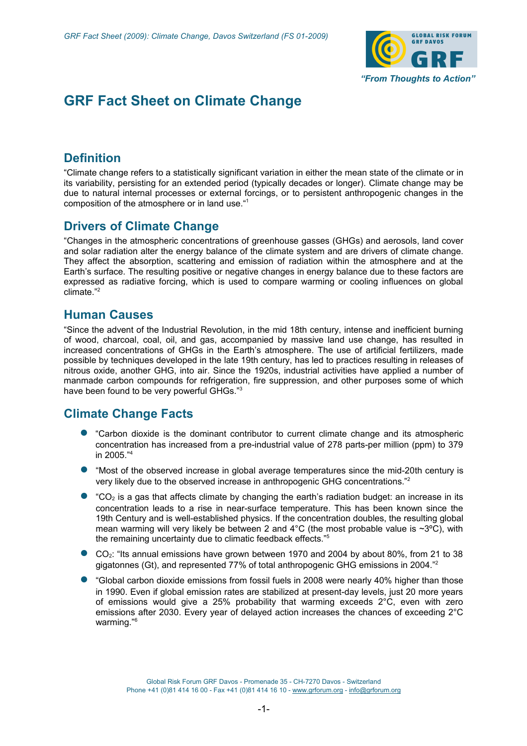

# **GRF Fact Sheet on Climate Change**

## **Definition**

"Climate change refers to a statistically significant variation in either the mean state of the climate or in its variability, persisting for an extended period (typically decades or longer). Climate change may be due to natural internal processes or external forcings, or to persistent anthropogenic changes in the composition of the atmosphere or in land use."<sup>1</sup>

#### **Drivers of Climate Change**

"Changes in the atmospheric concentrations of greenhouse gasses (GHGs) and aerosols, land cover and solar radiation alter the energy balance of the climate system and are drivers of climate change. They affect the absorption, scattering and emission of radiation within the atmosphere and at the Earth's surface. The resulting positive or negative changes in energy balance due to these factors are expressed as radiative forcing, which is used to compare warming or cooling influences on global climate<sup>"2</sup>

### **Human Causes**

"Since the advent of the Industrial Revolution, in the mid 18th century, intense and inefficient burning of wood, charcoal, coal, oil, and gas, accompanied by massive land use change, has resulted in increased concentrations of GHGs in the Earth's atmosphere. The use of artificial fertilizers, made possible by techniques developed in the late 19th century, has led to practices resulting in releases of nitrous oxide, another GHG, into air. Since the 1920s, industrial activities have applied a number of manmade carbon compounds for refrigeration, fire suppression, and other purposes some of which have been found to be very powerful GHGs."<sup>3</sup>

### **Climate Change Facts**

- "Carbon dioxide is the dominant contributor to current climate change and its atmospheric concentration has increased from a pre-industrial value of 278 parts-per million (ppm) to 379 in 2005."<sup>4</sup>
- "Most of the observed increase in global average temperatures since the mid-20th century is very likely due to the observed increase in anthropogenic GHG concentrations."<sup>2</sup>
- $^{\circ}CO_{2}$  is a gas that affects climate by changing the earth's radiation budget: an increase in its concentration leads to a rise in near-surface temperature. This has been known since the 19th Century and is well-established physics. If the concentration doubles, the resulting global mean warming will very likely be between 2 and 4°C (the most probable value is ~3°C), with the remaining uncertainty due to climatic feedback effects."<sup>5</sup>
- $CO<sub>2</sub>$ : "Its annual emissions have grown between 1970 and 2004 by about 80%, from 21 to 38 gigatonnes (Gt), and represented 77% of total anthropogenic GHG emissions in 2004."<sup>2</sup>
- "Global carbon dioxide emissions from fossil fuels in 2008 were nearly 40% higher than those in 1990. Even if global emission rates are stabilized at present-day levels, just 20 more years of emissions would give a 25% probability that warming exceeds 2°C, even with zero emissions after 2030. Every year of delayed action increases the chances of exceeding 2°C warming."<sup>6</sup>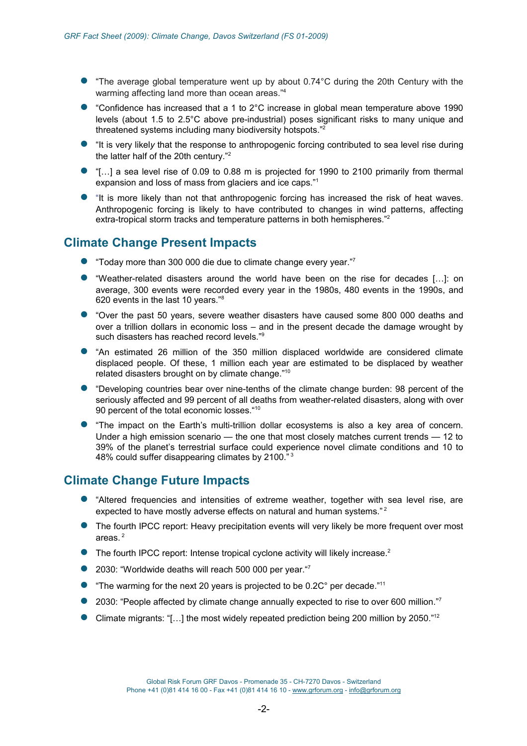- "The average global temperature went up by about 0.74°C during the 20th Century with the warming affecting land more than ocean areas."<sup>4</sup>
- "Confidence has increased that a 1 to 2°C increase in global mean temperature above 1990 levels (about 1.5 to 2.5°C above pre-industrial) poses significant risks to many unique and threatened systems including many biodiversity hotspots."<sup>2</sup>
- "It is very likely that the response to anthropogenic forcing contributed to sea level rise during the latter half of the 20th century."<sup>2</sup>
- "[...] a sea level rise of 0.09 to 0.88 m is projected for 1990 to 2100 primarily from thermal expansion and loss of mass from glaciers and ice caps."<sup>1</sup>
- "It is more likely than not that anthropogenic forcing has increased the risk of heat waves. Anthropogenic forcing is likely to have contributed to changes in wind patterns, affecting extra-tropical storm tracks and temperature patterns in both hemispheres."<sup>2</sup>

## **Climate Change Present Impacts**

- "Today more than 300 000 die due to climate change every year."
- "Weather-related disasters around the world have been on the rise for decades […]: on average, 300 events were recorded every year in the 1980s, 480 events in the 1990s, and 620 events in the last 10 years."<sup>8</sup>
- "Over the past 50 years, severe weather disasters have caused some 800 000 deaths and over a trillion dollars in economic loss – and in the present decade the damage wrought by such disasters has reached record levels."<sup>9</sup>
- "An estimated 26 million of the 350 million displaced worldwide are considered climate displaced people. Of these, 1 million each year are estimated to be displaced by weather related disasters brought on by climate change."<sup>10</sup>
- "Developing countries bear over nine-tenths of the climate change burden: 98 percent of the seriously affected and 99 percent of all deaths from weather-related disasters, along with over 90 percent of the total economic losses."<sup>10</sup>
- "The impact on the Earth's multi-trillion dollar ecosystems is also a key area of concern. Under a high emission scenario — the one that most closely matches current trends — 12 to 39% of the planet's terrestrial surface could experience novel climate conditions and 10 to 48% could suffer disappearing climates by 2100."<sup>3</sup>

### **Climate Change Future Impacts**

- "Altered frequencies and intensities of extreme weather, together with sea level rise, are expected to have mostly adverse effects on natural and human systems." <sup>2</sup>
- The fourth IPCC report: Heavy precipitation events will very likely be more frequent over most areas.<sup>2</sup>
- $\bullet$  The fourth IPCC report: Intense tropical cyclone activity will likely increase.<sup>2</sup>
- 2030: "Worldwide deaths will reach 500 000 per year."7
- **"The warming for the next 20 years is projected to be 0.2C° per decade.**"<sup>11</sup>
- 2030: "People affected by climate change annually expected to rise to over 600 million."
- Climate migrants: " $[...]$  the most widely repeated prediction being 200 million by 2050."<sup>12</sup>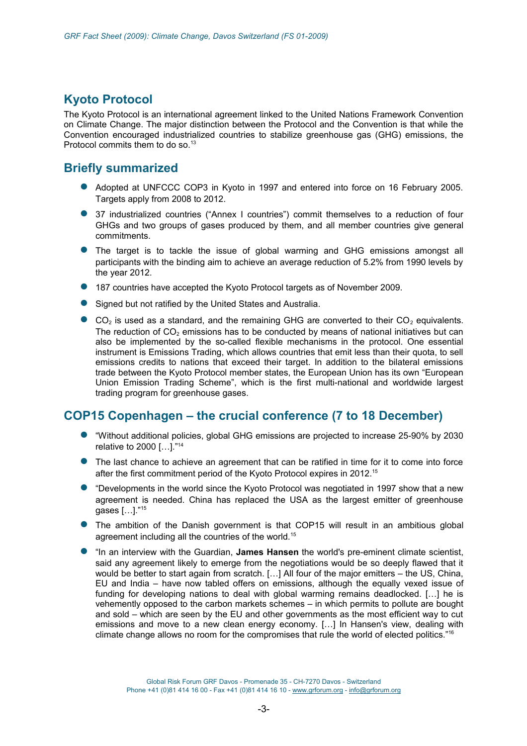# **Kyoto Protocol**

The Kyoto Protocol is an international agreement linked to the United Nations Framework Convention on Climate Change. The major distinction between the Protocol and the Convention is that while the Convention encouraged industrialized countries to stabilize greenhouse gas (GHG) emissions, the Protocol commits them to do so.<sup>13</sup>

## **Briefly summarized**

- Adopted at UNFCCC COP3 in Kyoto in 1997 and entered into force on 16 February 2005. Targets apply from 2008 to 2012.
- 37 industrialized countries ("Annex I countries") commit themselves to a reduction of four GHGs and two groups of gases produced by them, and all member countries give general commitments.
- The target is to tackle the issue of global warming and GHG emissions amongst all participants with the binding aim to achieve an average reduction of 5.2% from 1990 levels by the year 2012.
- 187 countries have accepted the Kyoto Protocol targets as of November 2009.
- Signed but not ratified by the United States and Australia.
- $\bullet$  CO<sub>2</sub> is used as a standard, and the remaining GHG are converted to their CO<sub>2</sub> equivalents. The reduction of  $CO<sub>2</sub>$  emissions has to be conducted by means of national initiatives but can also be implemented by the so-called flexible mechanisms in the protocol. One essential instrument is Emissions Trading, which allows countries that emit less than their quota, to sell emissions credits to nations that exceed their target. In addition to the bilateral emissions trade between the Kyoto Protocol member states, the European Union has its own "European Union Emission Trading Scheme", which is the first multi-national and worldwide largest trading program for greenhouse gases.

## **COP15 Copenhagen – the crucial conference (7 to 18 December)**

- "Without additional policies, global GHG emissions are projected to increase 25-90% by 2030 relative to 2000 […]."<sup>14</sup>
- The last chance to achieve an agreement that can be ratified in time for it to come into force after the first commitment period of the Kyoto Protocol expires in 2012.<sup>15</sup>
- "Developments in the world since the Kyoto Protocol was negotiated in 1997 show that a new agreement is needed. China has replaced the USA as the largest emitter of greenhouse gases […]."<sup>15</sup>
- The ambition of the Danish government is that COP15 will result in an ambitious global agreement including all the countries of the world.<sup>15</sup>
- "In an interview with the Guardian, **James Hansen** the world's pre-eminent climate scientist, said any agreement likely to emerge from the negotiations would be so deeply flawed that it would be better to start again from scratch. […] All four of the major emitters – the US, China, EU and India – have now tabled offers on emissions, although the equally vexed issue of funding for developing nations to deal with global warming remains deadlocked. […] he is vehemently opposed to the carbon markets schemes – in which permits to pollute are bought and sold – which are seen by the EU and other governments as the most efficient way to cut emissions and move to a new clean energy economy. […] In Hansen's view, dealing with climate change allows no room for the compromises that rule the world of elected politics."<sup>16</sup>